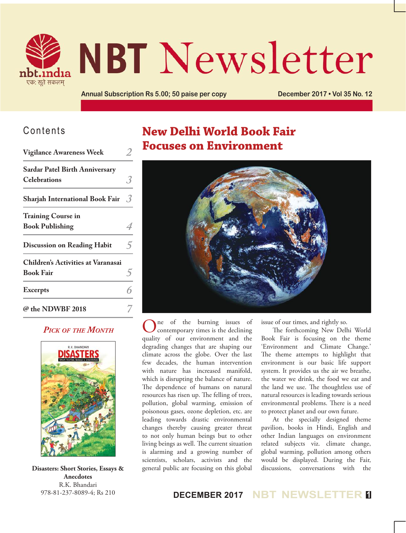

# **NBT Newsletter**

**Annual Subscription Rs 5.00; 50 paise per copy December 2017 • Vol 35 No. 12**

## Contents

| <b>Vigilance Awareness Week</b>                              |  |
|--------------------------------------------------------------|--|
| <b>Sardar Patel Birth Anniversary</b><br><b>Celebrations</b> |  |
| <b>Sharjah International Book Fair</b>                       |  |
| <b>Training Course in</b><br><b>Book Publishing</b>          |  |
| <b>Discussion on Reading Habit</b>                           |  |
| Children's Activities at Varanasai<br><b>Book Fair</b>       |  |
| <b>Excerpts</b>                                              |  |
| @ the NDWBF 2018                                             |  |

## *Pick of the Month*



**Disasters: Short Stories, Essays & Anecdotes** R.K. Bhandari 978-81-237-8089-4; Rs 210

# **New Delhi World Book Fair Focuses on Environment**



ne of the burning issues of contemporary times is the declining quality of our environment and the degrading changes that are shaping our climate across the globe. Over the last few decades, the human intervention with nature has increased manifold, which is disrupting the balance of nature. The dependence of humans on natural resources has risen up. The felling of trees, pollution, global warming, emission of poisonous gases, ozone depletion, etc. are leading towards drastic environmental changes thereby causing greater threat to not only human beings but to other living beings as well. The current situation is alarming and a growing number of scientists, scholars, activists and the general public are focusing on this global

issue of our times, and rightly so.

The forthcoming New Delhi World Book Fair is focusing on the theme 'Environment and Climate Change.' The theme attempts to highlight that environment is our basic life support system. It provides us the air we breathe, the water we drink, the food we eat and the land we use. The thoughtless use of natural resources is leading towards serious environmental problems. There is a need to protect planet and our own future.

At the specially designed theme pavilion, books in Hindi, English and other Indian languages on environment related subjects viz. climate change, global warming, pollution among others would be displayed. During the Fair, discussions, conversations with the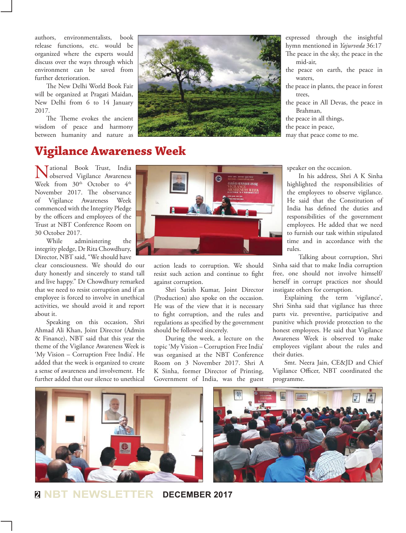authors, environmentalists, book release functions, etc. would be organized where the experts would discuss over the ways through which environment can be saved from further deterioration.

The New Delhi World Book Fair will be organized at Pragati Maidan, New Delhi from 6 to 14 January 2017.

The Theme evokes the ancient wisdom of peace and harmony between humanity and nature as



expressed through the insightful hymn mentioned in *Yajurveda* 36:17 The peace in the sky, the peace in the mid-air,

the peace on earth, the peace in waters,

the peace in plants, the peace in forest trees,

the peace in All Devas, the peace in Brahman,

the peace in all things,

the peace in peace,

may that peace come to me.

## **Vigilance Awareness Week**

National Book Trust, India observed Vigilance Awareness Week from 30<sup>th</sup> October to 4<sup>th</sup> November 2017. The observance of Vigilance Awareness Week commenced with the Integrity Pledge by the officers and employees of the Trust at NBT Conference Room on 30 October 2017.

While administering the integrity pledge, Dr Rita Chowdhury, Director, NBT said, "We should have

clear consciousness. We should do our duty honestly and sincerely to stand tall and live happy." Dr Chowdhury remarked that we need to resist corruption and if an employee is forced to involve in unethical activities, we should avoid it and report about it.

Speaking on this occasion, Shri Ahmad Ali Khan, Joint Director (Admin & Finance), NBT said that this year the theme of the Vigilance Awareness Week is 'My Vision – Corruption Free India'. He added that the week is organized to create a sense of awareness and involvement. He further added that our silence to unethical



action leads to corruption. We should resist such action and continue to fight against corruption.

Shri Satish Kumar, Joint Director (Production) also spoke on the occasion. He was of the view that it is necessary to fight corruption, and the rules and regulations as specified by the government should be followed sincerely.

During the week, a lecture on the topic 'My Vision – Corruption Free India' was organised at the NBT Conference Room on 3 November 2017. Shri A K Sinha, former Director of Printing, Government of India, was the guest

speaker on the occasion.

In his address, Shri A K Sinha highlighted the responsibilities of the employees to observe vigilance. He said that the Constitution of India has defined the duties and responsibilities of the government employees. He added that we need to furnish our task within stipulated time and in accordance with the rules.

Talking about corruption, Shri Sinha said that to make India corruption free, one should not involve himself/ herself in corrupt practices nor should instigate others for corruption.

Explaining the term 'vigilance', Shri Sinha said that vigilance has three parts viz. preventive, participative and punitive which provide protection to the honest employees. He said that Vigilance Awareness Week is observed to make employees vigilant about the rules and their duties.

Smt. Neera Jain, CE&JD and Chief Vigilance Officer, NBT coordinated the programme.



**<sup>2</sup> NBT NEWSLETTER DECEMBER 2017**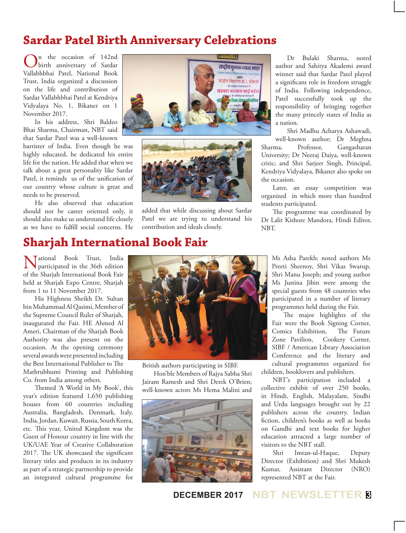# **Sardar Patel Birth Anniversary Celebrations**

 $\bigodot_{\text{birth}}^{\text{n}}$  the occasion of 142nd<br>  $\bigcup_{\text{birth}}^{\text{n}}$  the same of Sardar Vallabhbhai Patel, National Book Trust, India organized a discussion on the life and contribution of Sardar Vallabhbhai Patel at Kendriya Vidyalaya No. 1, Bikaner on 1 November 2017.

In his address, Shri Baldeo Bhai Sharma, Chairman, NBT said that Sardar Patel was a well-known

barrister of India. Even though he was highly educated, he dedicated his entire life for the nation. He added that when we talk about a great personality like Sardar Patel, it reminds us of the unification of our country whose culture is great and needs to be preserved.

He also observed that education should not be career oriented only, it should also make us understand life closely as we have to fulfill social concerns. He





added that while discussing about Sardar Patel we are trying to understand his contribution and ideals closely.

Dr Bulaki Sharma, noted author and Sahitya Akademi award winner said that Sardar Patel played a significant role in freedom struggle of India. Following independence, Patel successfully took up the responsibility of bringing together the many princely states of India as a nation.

Shri Madhu Acharya Ashawadi, well-known author; Dr Meghna Sharma, Professor, Gangasharan University; Dr Neeraj Daiya, well-known critic; and Shri Sarjeet Singh, Principal, Kendriya Vidyalaya, Bikaner also spoke on the occasion.

Later, an essay competition was organized in which more than hundred students participated.

The programme was coordinated by Dr Lalit Kishore Mandora, Hindi Editor, NBT.

# **Sharjah International Book Fair**

National Book Trust, India participated in the 36th edition of the Sharjah International Book Fair held at Sharjah Expo Centre, Sharjah from 1 to 11 November 2017.

His Highness Sheikh Dr. Sultan bin Muhammad Al Qasimi, Member of the Supreme Council Ruler of Sharjah, inaugurated the Fair. HE Ahmed Al Ameri, Chairman of the Sharjah Book Authority was also present on the occasion. At the opening ceremony several awards were presented including the Best International Publisher to The Mathrubhumi Printing and Publishing Co. from India among others.

Themed 'A World in My Book', this year's edition featured 1,650 publishing houses from 60 countries including Australia, Bangladesh, Denmark, Italy, India, Jordan, Kuwait, Russia, South Korea, etc. This year, United Kingdom was the Guest of Honour country in line with the UK/UAE Year of Creative Collaboration 2017. The UK showcased the significant literary titles and products in its industry as part of a strategic partnership to provide an integrated cultural programme for



British authors participating in SIBF. Hon'ble Members of Rajya Sabha Shri Jairam Ramesh and Shri Derek O'Brien; well-known actors Ms Hema Malini and



Ms Asha Parekh; noted authors Ms Preeti Sheenoy, Shri Vikas Swarup, Shri Manu Joseph; and young author Ms Justina Jibin were among the special guests from 48 countries who participated in a number of literary programmes held during the Fair.

The major highlights of the Fair were the Book Signing Corner, Comics Exhibition, The Future Zone Pavilion, Cookery Corner, SIBF / American Library Association Conference and the literary and cultural programmes organized for children, booklovers and publishers.

NBT's participation included a collective exhibit of over 250 books, in Hindi, English, Malayalam, Sindhi and Urdu languages brought out by 22 publishers across the country. Indian fiction, children's books as well as books on Gandhi and text books for higher education attracted a large number of visitors to the NBT stall.

Shri Imran-ul-Haque, Deputy Director (Exhibition) and Shri Mukesh Kumar, Assistant Director (NRO) represented NBT at the Fair.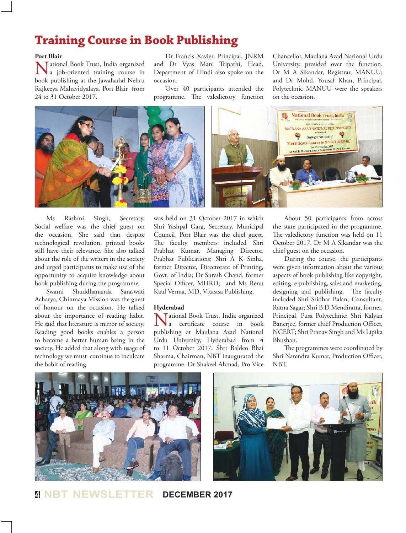## **Training Course in Book Publishing**

#### **Port Blair**

National Book Trust, India organized a job-oriented training course in book publishing at the Jawaharlal Nehru Rajkeeya Mahavidyalaya, Port Blair from 24 to 31 October 2017.

Dr Francis Xavier, Principal, JNRM and Dr Vyas Mani Tripathi, Head, Department of Hindi also spoke on the occasion.

Over 40 participants attended the programme. The valedictory function

Chancellor, Maulana Azad National Urdu University, presided over the function. Dr M A Sikandar, Registrar, MANUU; and Dr Mohd. Yousaf Khan, Principal, Polytechnic MANUU were the speakers on the occasion.



Ms Rashmi Singh, Secretary, Social welfare was the chief guest on the occasion. She said that despite technological revolution, printed books still have their relevance. She also talked about the role of the writers in the society and urged participants to make use of the opportunity to acquire knowledge about book publishing during the programme.

Swami Shuddhananda Saraswati Acharya, Chinmaya Mission was the guest of honour on the occasion. He talked about the importance of reading habit. He said that literature is mirror of society. Reading good books enables a person to become a better human being in the society. He added that along with usage of technology we must continue to inculcate the habit of reading.

was held on 31 October 2017 in which Shri Yashpal Garg, Secretary, Municipal Council, Port Blair was the chief guest. The faculty members included Shri Prabhat Kumar, Managing Director, Prabhat Publications; Shri A K Sinha, former Director, Directorate of Printing, Govt. of India; Dr Suresh Chand, former Special Officer, MHRD; and Ms Renu Kaul Verma, MD, Vitastsa Publishing.

#### **Hyderabad**

National Book Trust, India organized a certificate course in book publishing at Maulana Azad National Urdu University, Hyderabad from 4 to 11 October 2017. Shri Baldeo Bhai Sharma, Chairman, NBT inaugurated the programme. Dr Shakeel Ahmad, Pro Vice

About 50 participants from across the state participated in the programme. The valedictory function was held on 11 October 2017. Dr M A Sikandar was the chief guest on the occasion.

During the course, the participants were given information about the various aspects of book publishing like copyright, editing, e-publishing, sales and marketing, designing and publishing. The faculty included Shri Sridhar Balan, Consultant, Ratna Sagar; Shri B D Mendiratta, former, Principal, Pusa Polytechnic; Shri Kalyan Banerjee, former chief Production Officer, NCERT; Shri Pranav Singh and Ms Lipika Bhushan.

The programmes were coordinated by Shri Narendra Kumar, Production Officer, NBT.





**<sup>4</sup> NBT NEWSLETTER DECEMBER 2017**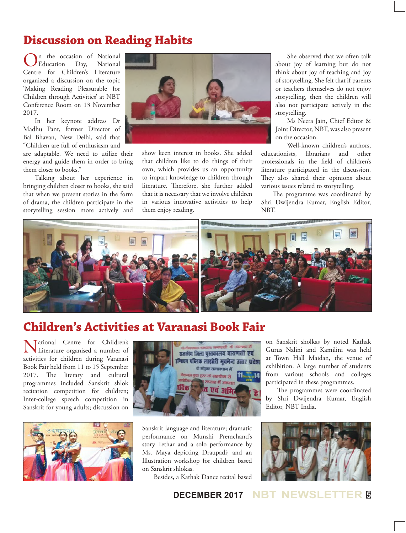# **Discussion on Reading Habits**

n the occasion of National<br>Education Day, National Education Centre for Children's Literature organized a discussion on the topic 'Making Reading Pleasurable for Children through Activities' at NBT Conference Room on 13 November 2017.

In her keynote address Dr Madhu Pant, former Director of Bal Bhavan, New Delhi, said that "Children are full of enthusiasm and

are adaptable. We need to utilize their energy and guide them in order to bring them closer to books."

Talking about her experience in bringing children closer to books, she said that when we present stories in the form of drama, the children participate in the storytelling session more actively and



show keen interest in books. She added that children like to do things of their own, which provides us an opportunity to impart knowledge to children through literature. Therefore, she further added that it is necessary that we involve children in various innovative activities to help them enjoy reading.

She observed that we often talk about joy of learning but do not think about joy of teaching and joy of storytelling. She felt that if parents or teachers themselves do not enjoy storytelling, then the children will also not participate actively in the storytelling.

Ms Neera Jain, Chief Editor & Joint Director, NBT, was also present on the occasion.

Well-known children's authors,<br>educationists. librarians and other librarians and other professionals in the field of children's literature participated in the discussion. They also shared their opinions about various issues related to storytelling.

The programme was coordinated by Shri Dwijendra Kumar, English Editor, NBT.



# **Children's Activities at Varanasi Book Fair**

National Centre for Children's Literature organised a number of activities for children during Varanasi Book Fair held from 11 to 15 September 2017. The literary and cultural programmes included Sanskrit shlok recitation competition for children; Inter-college speech competition in Sanskrit for young adults; discussion on





Sanskrit language and literature; dramatic performance on Munshi Premchand's story Tethar and a solo performance by Ms. Maya depicting Draupadi; and an Illustration workshop for children based on Sanskrit shlokas.

Besides, a Kathak Dance recital based

on Sanskrit sholkas by noted Kathak Gurus Nalini and Kamilini was held at Town Hall Maidan, the venue of exhibition. A large number of students from various schools and colleges participated in these programmes.

The programmes were coordinated by Shri Dwijendra Kumar, English Editor, NBT India.

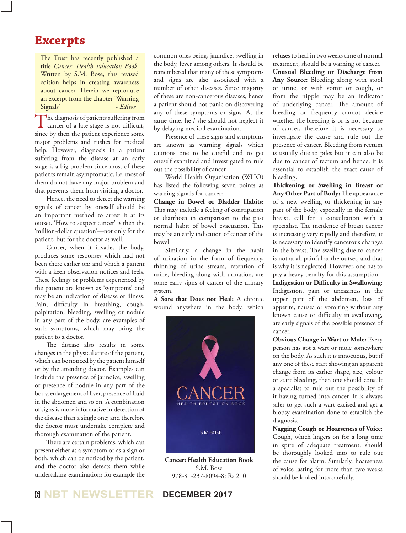## **Excerpts**

The Trust has recently published a title *Cancer: Health Education Book*. Written by S.M. Bose, this revised edition helps in creating awareness about cancer. Herein we reproduce an excerpt from the chapter 'Warning Signals' - *Editor* 

The diagnosis of patients suffering from cancer of a late stage is not difficult, since by then the patient experience some major problems and rushes for medical help. However, diagnosis in a patient suffering from the disease at an early stage is a big problem since most of these patients remain asymptomatic, i.e. most of them do not have any major problem and that prevents them from visiting a doctor.

Hence, the need to detect the warning signals of cancer by oneself should be an important method to arrest it at its outset. 'How to suspect cancer' is then the 'million-dollar question'—not only for the patient, but for the doctor as well.

Cancer, when it invades the body, produces some responses which had not been there earlier on; and which a patient with a keen observation notices and feels. These feelings or problems experienced by the patient are known as 'symptoms' and may be an indication of disease or illness. Pain, difficulty in breathing, cough, palpitation, bleeding, swelling or nodule in any part of the body, are examples of such symptoms, which may bring the patient to a doctor.

The disease also results in some changes in the physical state of the patient, which can be noticed by the patient himself or by the attending doctor. Examples can include the presence of jaundice, swelling or presence of nodule in any part of the body, enlargement of liver, presence of fluid in the abdomen and so on. A combination of signs is more informative in detection of the disease than a single one; and therefore the doctor must undertake complete and thorough examination of the patient.

There are certain problems, which can present either as a symptom or as a sign or both, which can be noticed by the patient, and the doctor also detects them while undertaking examination; for example the

common ones being, jaundice, swelling in the body, fever among others. It should be remembered that many of these symptoms and signs are also associated with a number of other diseases. Since majority of these are non-cancerous diseases, hence a patient should not panic on discovering any of these symptoms or signs. At the same time, he / she should not neglect it by delaying medical examination.

Presence of these signs and symptoms are known as warning signals which cautions one to be careful and to get oneself examined and investigated to rule out the possibility of cancer.

World Health Organisation (WHO) has listed the following seven points as warning signals for cancer:

**Change in Bowel or Bladder Habits:** This may include a feeling of constipation or diarrhoea in comparison to the past normal habit of bowel evacuation. This may be an early indication of cancer of the bowel.

Similarly, a change in the habit of urination in the form of frequency, thinning of urine stream, retention of urine, bleeding along with urination, are some early signs of cancer of the urinary system.

**A Sore that Does not Heal:** A chronic wound anywhere in the body, which



**Cancer: Health Education Book** S.M. Bose 978-81-237-8094-8; Rs 210

refuses to heal in two weeks time of normal treatment, should be a warning of cancer.

**Unusual Bleeding or Discharge from Any Source:** Bleeding along with stool or urine, or with vomit or cough, or from the nipple may be an indicator of underlying cancer. The amount of bleeding or frequency cannot decide whether the bleeding is or is not because of cancer, therefore it is necessary to investigate the cause and rule out the presence of cancer. Bleeding from rectum is usually due to piles but it can also be due to cancer of rectum and hence, it is essential to establish the exact cause of bleeding.

**Thickening or Swelling in Breast or Any Other Part of Body:** The appearance of a new swelling or thickening in any part of the body, especially in the female breast, call for a consultation with a specialist. The incidence of breast cancer is increasing very rapidly and therefore, it is necessary to identify cancerous changes in the breast. The swelling due to cancer is not at all painful at the outset, and that is why it is neglected. However, one has to pay a heavy penalty for this assumption.

**Indigestion or Difficulty in Swallowing:**  Indigestion, pain or uneasiness in the upper part of the abdomen, loss of appetite, nausea or vomiting without any known cause or difficulty in swallowing, are early signals of the possible presence of cancer.

**Obvious Change in Wart or Mole:** Every person has got a wart or mole somewhere on the body. As such it is innocuous, but if any one of these start showing an apparent change from its earlier shape, size, colour or start bleeding, then one should consult a specialist to rule out the possibility of it having turned into cancer. It is always safer to get such a wart excised and get a biopsy examination done to establish the diagnosis.

**Nagging Cough or Hoarseness of Voice:**  Cough, which lingers on for a long time in spite of adequate treatment, should be thoroughly looked into to rule out the cause for alarm. Similarly, hoarseness of voice lasting for more than two weeks should be looked into carefully.

## **<sup>6</sup> NBT NEWSLETTER DECEMBER 2017**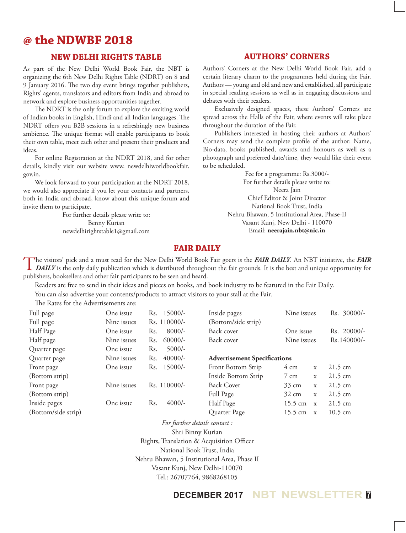## **@ the NDWBF 2018**

#### **New Delhi Rights Table**

As part of the New Delhi World Book Fair, the NBT is organizing the 6th New Delhi Rights Table (NDRT) on 8 and 9 January 2016. The two day event brings together publishers, Rights' agents, translators and editors from India and abroad to network and explore business opportunities together.

The NDRT is the only forum to explore the exciting world of Indian books in English, Hindi and all Indian languages. The NDRT offers you B2B sessions in a refreshingly new business ambience. The unique format will enable participants to book their own table, meet each other and present their products and ideas.

For online Registration at the NDRT 2018, and for other details, kindly visit our website www. newdelhiworldbookfair. gov.in.

We look forward to your participation at the NDRT 2018, we would also appreciate if you let your contacts and partners, both in India and abroad, know about this unique forum and invite them to participate.

> For further details please write to: Benny Kurian newdelhirightstable1@gmail.com

#### **AUTHORS' CORNERS**

Authors' Corners at the New Delhi World Book Fair, add a certain literary charm to the programmes held during the Fair. Authors — young and old and new and established, all participate in special reading sessions as well as in engaging discussions and debates with their readers.

Exclusively designed spaces, these Authors' Corners are spread across the Halls of the Fair, where events will take place throughout the duration of the Fair.

Publishers interested in hosting their authors at Authors' Corners may send the complete profile of the author: Name, Bio-data, books published, awards and honours as well as a photograph and preferred date/time, they would like their event to be scheduled.

> Fee for a programme: Rs.3000/- For further details please write to: Neera Jain Chief Editor & Joint Director National Book Trust, India Nehru Bhawan, 5 Institutional Area, Phase-II Vasant Kunj, New Delhi - 110070 Email: **neerajain.nbt@nic.in**

### **Fair Daily**

The visitors' pick and a must read for the New Delhi World Book Fair goers is the *FAIR DAILY*. An NBT initiative, the *FAIR DAILY* is the only daily publication which is distributed throughout the fair grounds. It is the best and unique opportunity for publishers, booksellers and other fair participants to be seen and heard.

Readers are free to send in their ideas and pieces on books, and book industry to be featured in the Fair Daily.

You can also advertise your contents/products to attract visitors to your stall at the Fair.

The Rates for the Advertisements are:

| Full page           | One issue   | $Rs. 15000/-$    | Inside pages                        | Nine issues                       | Rs. 30000/-       |
|---------------------|-------------|------------------|-------------------------------------|-----------------------------------|-------------------|
| Full page           | Nine issues | Rs. 110000/-     | (Bottom/side strip)                 |                                   |                   |
| Half Page           | One issue   | $8000/-$<br>Rs.  | Back cover                          | One issue                         | $Rs. 20000/-$     |
| Half page           | Nine issues | $60000/-$<br>Rs. | Back cover                          | Nine issues                       | Rs. 140000/-      |
| Quarter page        | One issue   | $5000/-$<br>Rs.  |                                     |                                   |                   |
| Quarter page        | Nine issues | $40000/-$<br>Rs. | <b>Advertisement Specifications</b> |                                   |                   |
| Front page          | One issue   | $15000/-$<br>Rs. | Front Bottom Strip                  | $4 \text{ cm}$<br>$\mathbf x$     | $21.5 \text{ cm}$ |
| (Bottom strip)      |             |                  | Inside Bottom Strip                 | $7 \text{ cm}$<br>$\mathbf x$     | $21.5 \text{ cm}$ |
| Front page          | Nine issues | $Rs. 110000/-$   | <b>Back Cover</b>                   | $33 \text{ cm}$<br>$\mathbf{x}$   | $21.5 \text{ cm}$ |
| (Bottom strip)      |             |                  | Full Page                           | $32 \text{ cm}$<br>$\mathbf{x}$   | $21.5 \text{ cm}$ |
| Inside pages        | One issue   | $4000/-$<br>Rs.  | Half Page                           | $15.5 \text{ cm}$<br>$\mathbf{x}$ | $21.5 \text{ cm}$ |
| (Bottom/side strip) |             |                  | Quarter Page                        | $15.5 \text{ cm}$<br>$\mathbf{x}$ | $10.5 \text{ cm}$ |

*For further details contact :* Shri Binny Kurian Rights, Translation & Acquisition Officer National Book Trust, India Nehru Bhawan, 5 Institutional Area, Phase II Vasant Kunj, New Delhi-110070 Tel.: 26707764, 9868268105